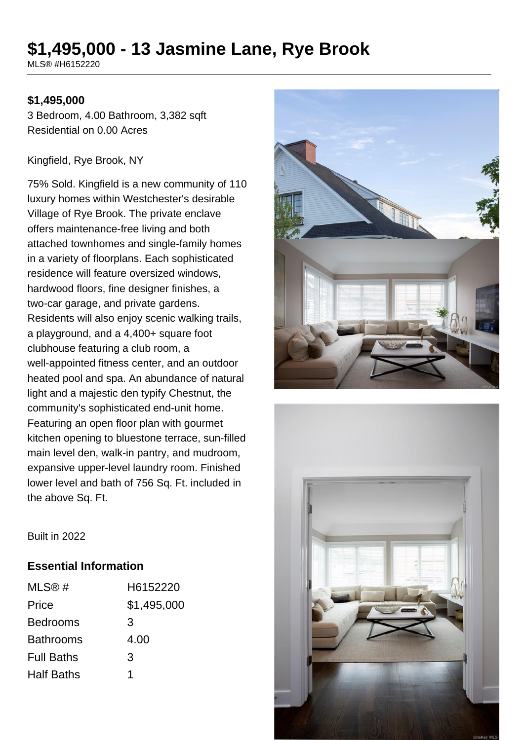# **\$1,495,000 - 13 Jasmine Lane, Rye Brook**

MLS® #H6152220

#### **\$1,495,000**

3 Bedroom, 4.00 Bathroom, 3,382 sqft Residential on 0.00 Acres

#### Kingfield, Rye Brook, NY

75% Sold. Kingfield is a new community of 110 luxury homes within Westchester's desirable Village of Rye Brook. The private enclave offers maintenance-free living and both attached townhomes and single-family homes in a variety of floorplans. Each sophisticated residence will feature oversized windows, hardwood floors, fine designer finishes, a two-car garage, and private gardens. Residents will also enjoy scenic walking trails, a playground, and a 4,400+ square foot clubhouse featuring a club room, a well-appointed fitness center, and an outdoor heated pool and spa. An abundance of natural light and a majestic den typify Chestnut, the community's sophisticated end-unit home. Featuring an open floor plan with gourmet kitchen opening to bluestone terrace, sun-filled main level den, walk-in pantry, and mudroom, expansive upper-level laundry room. Finished lower level and bath of 756 Sq. Ft. included in the above Sq. Ft.





Built in 2022

#### **Essential Information**

| MLS@#             | H6152220    |
|-------------------|-------------|
| Price             | \$1,495,000 |
| <b>Bedrooms</b>   | 3           |
| <b>Bathrooms</b>  | 4.00        |
| <b>Full Baths</b> | 3           |
| <b>Half Baths</b> | 1           |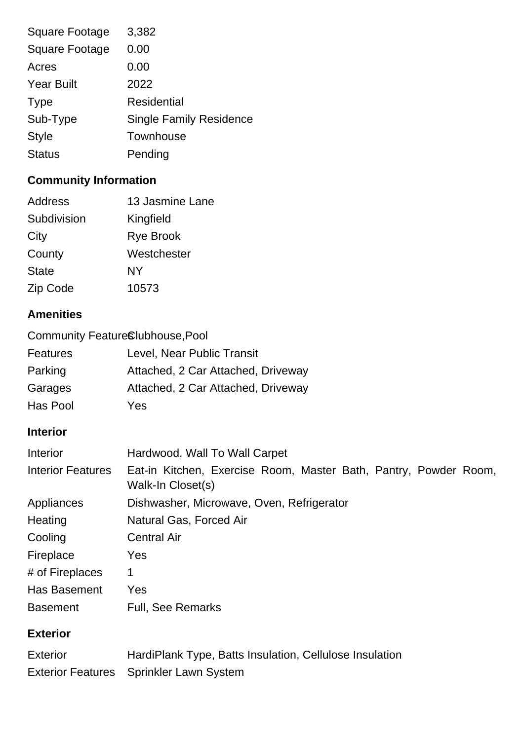| <b>Square Footage</b> | 3,382                          |
|-----------------------|--------------------------------|
| <b>Square Footage</b> | 0.00                           |
| Acres                 | 0.00                           |
| <b>Year Built</b>     | 2022                           |
| <b>Type</b>           | <b>Residential</b>             |
| Sub-Type              | <b>Single Family Residence</b> |
| <b>Style</b>          | Townhouse                      |
| <b>Status</b>         | Pending                        |
|                       |                                |

## **Community Information**

| Address      | 13 Jasmine Lane  |
|--------------|------------------|
| Subdivision  | Kingfield        |
| City         | <b>Rye Brook</b> |
| County       | Westchester      |
| <b>State</b> | NΥ               |
| Zip Code     | 10573            |

## **Amenities**

| Community FeatureClubhouse, Pool |                                                                                       |
|----------------------------------|---------------------------------------------------------------------------------------|
| <b>Features</b>                  | Level, Near Public Transit                                                            |
| Parking                          | Attached, 2 Car Attached, Driveway                                                    |
| Garages                          | Attached, 2 Car Attached, Driveway                                                    |
| Has Pool                         | Yes                                                                                   |
| <b>Interior</b>                  |                                                                                       |
| Interior                         | Hardwood, Wall To Wall Carpet                                                         |
| <b>Interior Features</b>         | Eat-in Kitchen, Exercise Room, Master Bath, Pantry, Powder Room,<br>Walk-In Closet(s) |
| Appliances                       | Dishwasher, Microwave, Oven, Refrigerator                                             |
| Heating                          | Natural Gas, Forced Air                                                               |
| Cooling                          | <b>Central Air</b>                                                                    |
| Fireplace                        | Yes                                                                                   |
| # of Fireplaces                  | 1                                                                                     |
| Has Basement                     | Yes                                                                                   |
| <b>Basement</b>                  | <b>Full, See Remarks</b>                                                              |

## **Exterior**

| <b>Exterior</b> | HardiPlank Type, Batts Insulation, Cellulose Insulation |
|-----------------|---------------------------------------------------------|
|                 | Exterior Features Sprinkler Lawn System                 |